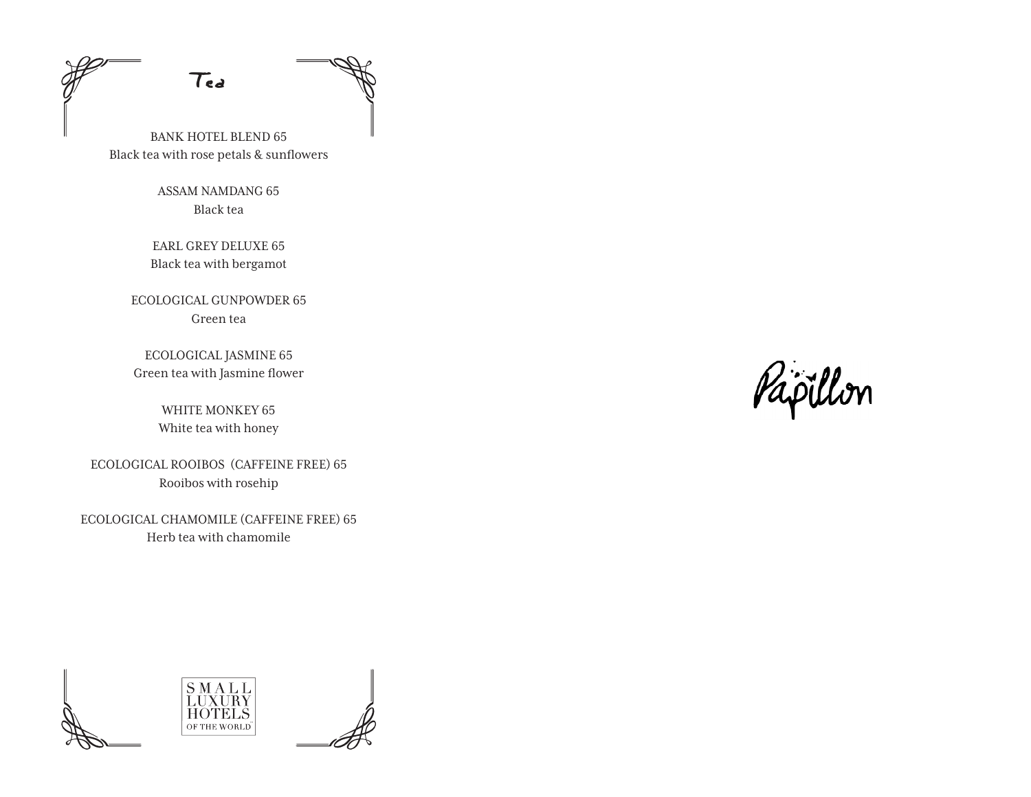Tea

BANK HOTEL BLEND 65 Black tea with rose petals & sunflowers

> ASSAM NAMDANG 65 Black tea

EARL GREY DELUXE 65 Black tea with bergamot

ECOLOGICAL GUNPOWDER 65 Green tea

ECOLOGICAL JASMINE 65 Green tea with Jasmine flower

> WHITE MONKEY 65 White tea with honey

ECOLOGICAL ROOIBOS (CAFFEINE FREE) 65 Rooibos with rosehip

ECOLOGICAL CHAMOMILE (CAFFEINE FREE) 65 Herb tea with chamomile

Papillon



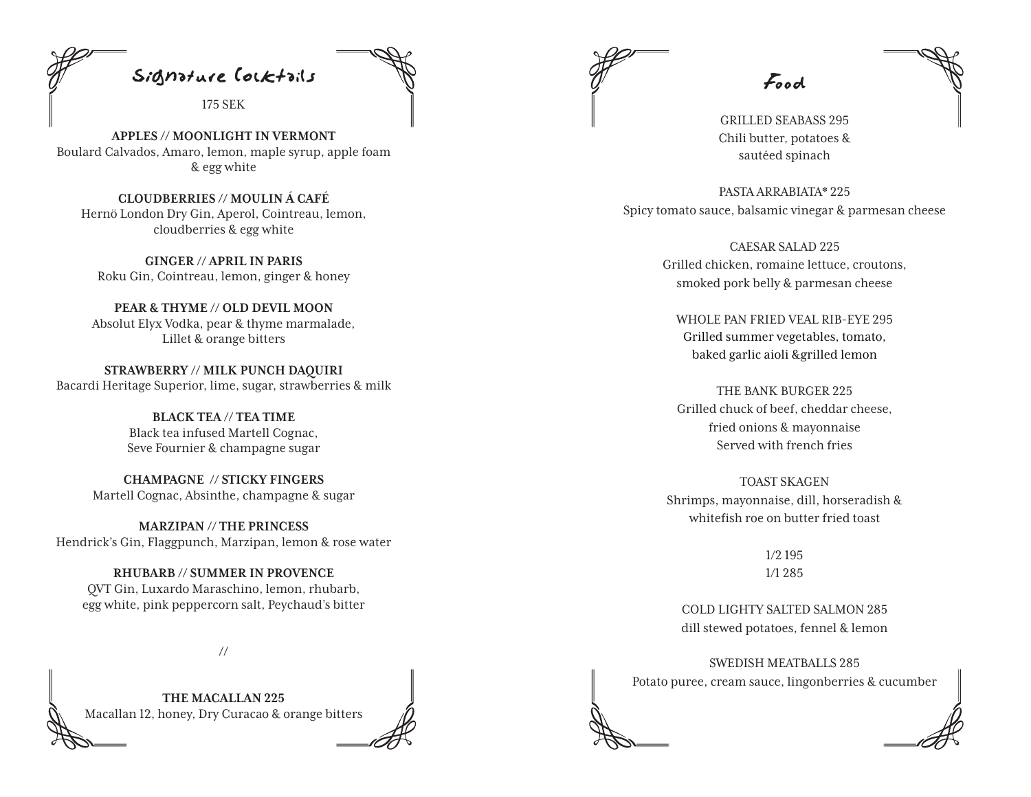

175 SEK

**APPLES // MOONLIGHT IN VERMONT** Boulard Calvados, Amaro, lemon, maple syrup, apple foam & egg white

**CLOUDBERRIES // MOULIN Á CAFÉ** Hernö London Dry Gin, Aperol, Cointreau, lemon, cloudberries & egg white

**GINGER // APRIL IN PARIS** Roku Gin, Cointreau, lemon, ginger & honey

**PEAR & THYME // OLD DEVIL MOON** Absolut Elyx Vodka, pear & thyme marmalade, Lillet & orange bitters

**STRAWBERRY // MILK PUNCH DAQUIRI**  Bacardi Heritage Superior, lime, sugar, strawberries & milk

> **BLACK TEA // TEA TIME** Black tea infused Martell Cognac, Seve Fournier & champagne sugar

**CHAMPAGNE // STICKY FINGERS** Martell Cognac, Absinthe, champagne & sugar

**MARZIPAN // THE PRINCESS** Hendrick's Gin, Flaggpunch, Marzipan, lemon & rose water

**RHUBARB // SUMMER IN PROVENCE**  QVT Gin, Luxardo Maraschino, lemon, rhubarb, egg white, pink peppercorn salt, Peychaud's bitter

**//** 

**THE MACALLAN 225** Macallan 12, honey, Dry Curacao & orange bitters

Food

GRILLED SEABASS 295 Chili butter, potatoes & sautéed spinach

PASTA ARRABIATA\* 225 Spicy tomato sauce, balsamic vinegar & parmesan cheese

> CAESAR SALAD 225 Grilled chicken, romaine lettuce, croutons, smoked pork belly & parmesan cheese

WHOLE PAN FRIED VEAL RIB-EYE 295 Grilled summer vegetables, tomato, baked garlic aioli &grilled lemon

THE BANK BURGER 225 Grilled chuck of beef, cheddar cheese, fried onions & mayonnaise Served with french fries

TOAST SKAGEN Shrimps, mayonnaise, dill, horseradish & whitefish roe on butter fried toast

> 1/2 195 1/1 285

COLD LIGHTY SALTED SALMON 285 dill stewed potatoes, fennel & lemon

SWEDISH MEATBALLS 285 Potato puree, cream sauce, lingonberries & cucumber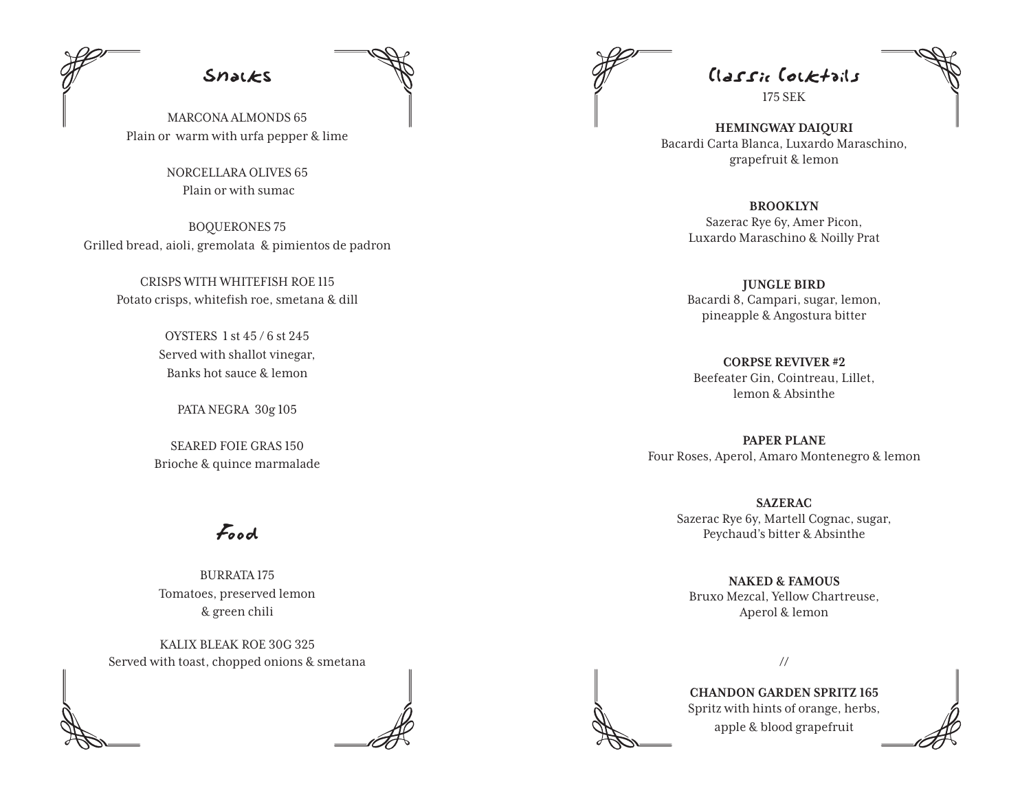

MARCONA ALMONDS 65 Plain or warm with urfa pepper & lime

> NORCELLARA OLIVES 65 Plain or with sumac

BOQUERONES 75 Grilled bread, aioli, gremolata & pimientos de padron

> CRISPS WITH WHITEFISH ROE 115 Potato crisps, whitefish roe, smetana & dill

> > OYSTERS 1 st 45 / 6 st 245 Served with shallot vinegar, Banks hot sauce & lemon

> > > PATA NEGRA 30g 105

SEARED FOIE GRAS 150 Brioche & quince marmalade

Food

BURRATA 175 Tomatoes, preserved lemon & green chili

KALIX BLEAK ROE 30G 325 Served with toast, chopped onions & smetana

Classic Cocktails

175 SEK

**HEMINGWAY DAIQURI** Bacardi Carta Blanca, Luxardo Maraschino, grapefruit & lemon

> **BROOKLYN** Sazerac Rye 6y, Amer Picon, Luxardo Maraschino & Noilly Prat

**JUNGLE BIRD** Bacardi 8, Campari, sugar, lemon, pineapple & Angostura bitter

**CORPSE REVIVER #2** Beefeater Gin, Cointreau, Lillet, lemon & Absinthe

**PAPER PLANE** Four Roses, Aperol, Amaro Montenegro & lemon

> **SAZERAC** Sazerac Rye 6y, Martell Cognac, sugar, Peychaud's bitter & Absinthe

**NAKED & FAMOUS** Bruxo Mezcal, Yellow Chartreuse, Aperol & lemon



**CHANDON GARDEN SPRITZ 165** Spritz with hints of orange, herbs, apple & blood grapefruit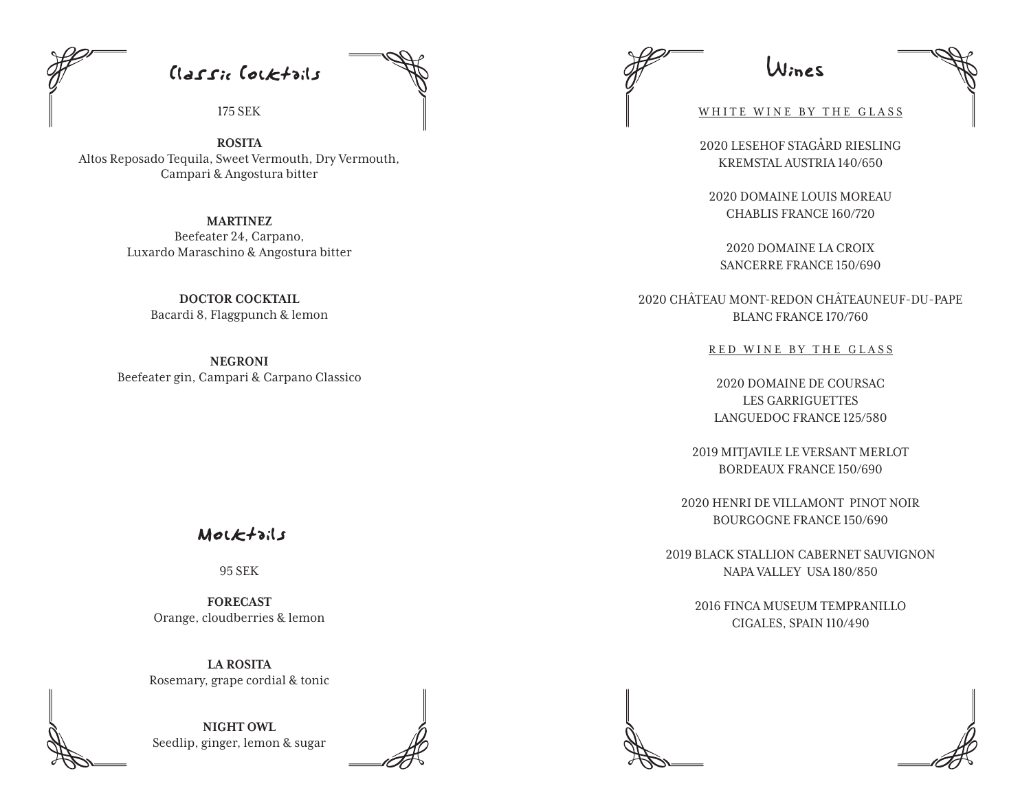Classic Cocktails

175 SEK

**ROSITA** Altos Reposado Tequila, Sweet Vermouth, Dry Vermouth, Campari & Angostura bitter

> **MARTINEZ** Beefeater 24, Carpano, Luxardo Maraschino & Angostura bitter

> > **DOCTOR COCKTAIL** Bacardi 8, Flaggpunch & lemon

**NEGRONI** Beefeater gin, Campari & Carpano Classico

Mocktails

95 SEK

**FORECAST**  Orange, cloudberries & lemon

**LA ROSITA**  Rosemary, grape cordial & tonic

**NIGHT OWL**  Seedlip, ginger, lemon & sugar

Wines

WHITE WINE BY THE GLASS

2020 LESEHOF STAGÅRD RIESLING KREMSTAL AUSTRIA 140/650

2020 DOMAINE LOUIS MOREAU CHABLIS FRANCE 160/720

2020 DOMAINE LA CROIX SANCERRE FRANCE 150/690

2020 CHÂTEAU MONT-REDON CHÂTEAUNEUF-DU-PAPE BLANC FRANCE 170/760

RED WINE BY THE GLASS

2020 DOMAINE DE COURSAC LES GARRIGUETTES LANGUEDOC FRANCE 125/580

2019 MITJAVILE LE VERSANT MERLOT BORDEAUX FRANCE 150/690

2020 HENRI DE VILLAMONT PINOT NOIR BOURGOGNE FRANCE 150/690

2019 BLACK STALLION CABERNET SAUVIGNON NAPA VALLEY USA 180/850

> 2016 FINCA MUSEUM TEMPRANILLO CIGALES, SPAIN 110/490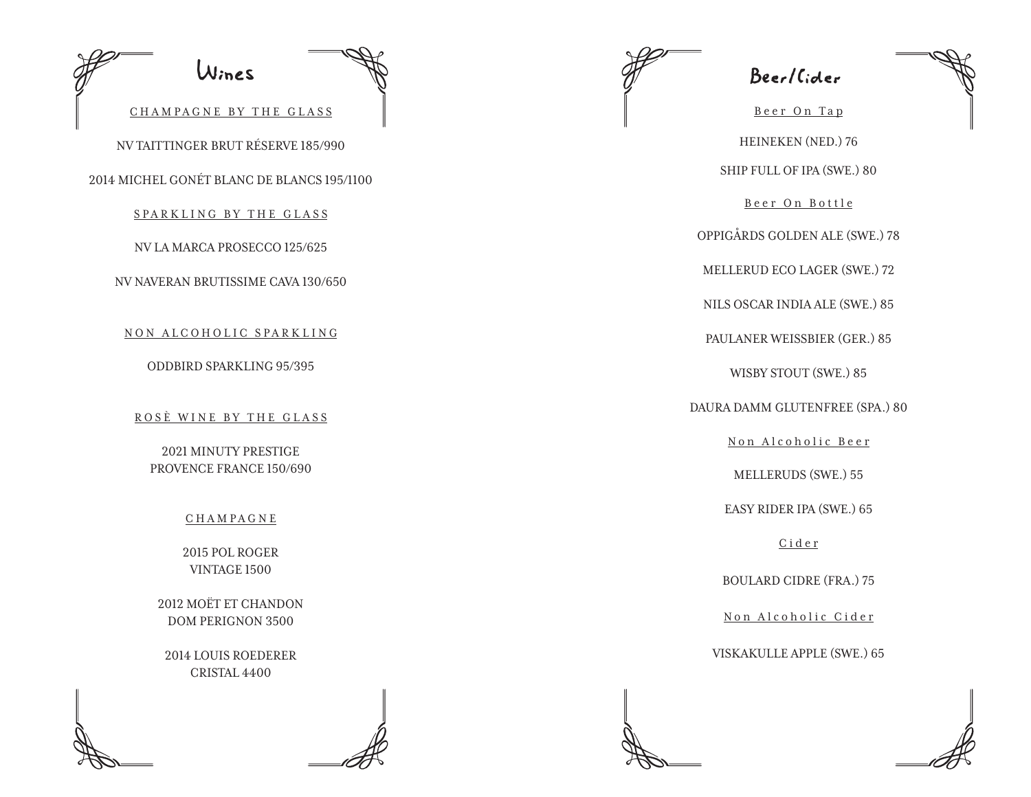| Wines                                                      |
|------------------------------------------------------------|
| CHAMPAGNE BY THE GLASS                                     |
| NV TAITTINGER BRUT RÉSERVE 185/990                         |
| 2014 MICHEL GONÉT BLANC DE BLANCS 195/1100                 |
| SPARKLING BY THE GLASS                                     |
| NV LA MARCA PROSECCO 125/625                               |
| NV NAVERAN BRUTISSIME CAVA 130/650                         |
| NON ALCOHOLIC SPARKLING<br><b>ODDBIRD SPARKLING 95/395</b> |
| ROSÈ WINE BY THE GLASS<br><b>2021 MINUTY PRESTIGE</b>      |
| PROVENCE FRANCE 150/690                                    |
| <b>CHAMPAGNE</b>                                           |
| 2015 POL ROGER<br><b>VINTAGE 1500</b>                      |
| 2012 MOËT ET CHANDON<br><b>DOM PERIGNON 3500</b>           |
| <b>2014 LOUIS ROEDERER</b><br>CRISTAL 4400                 |
|                                                            |

Beer/Cider

Beer On Tap HEINEKEN (NED.) 76 SHIP FULL OF IPA (SWE.) 80

Beer On Bottle

OPPIGÅRDS GOLDEN ALE (SWE.) 78

MELLERUD ECO LAGER (SWE.) 72

NILS OSCAR INDIA ALE (SWE.) 85

PAULANER WEISSBIER (GER.) 85

WISBY STOUT (SWE.) 85

DAURA DAMM GLUTENFREE (SPA.) 80

Non Alcoholic Beer

MELLERUDS (SWE.) 55

EASY RIDER IPA (SWE.) 65

Cider

BOULARD CIDRE (FRA.) 75

Non Alcoholic Cider

VISKAKULLE APPLE (SWE.) 65